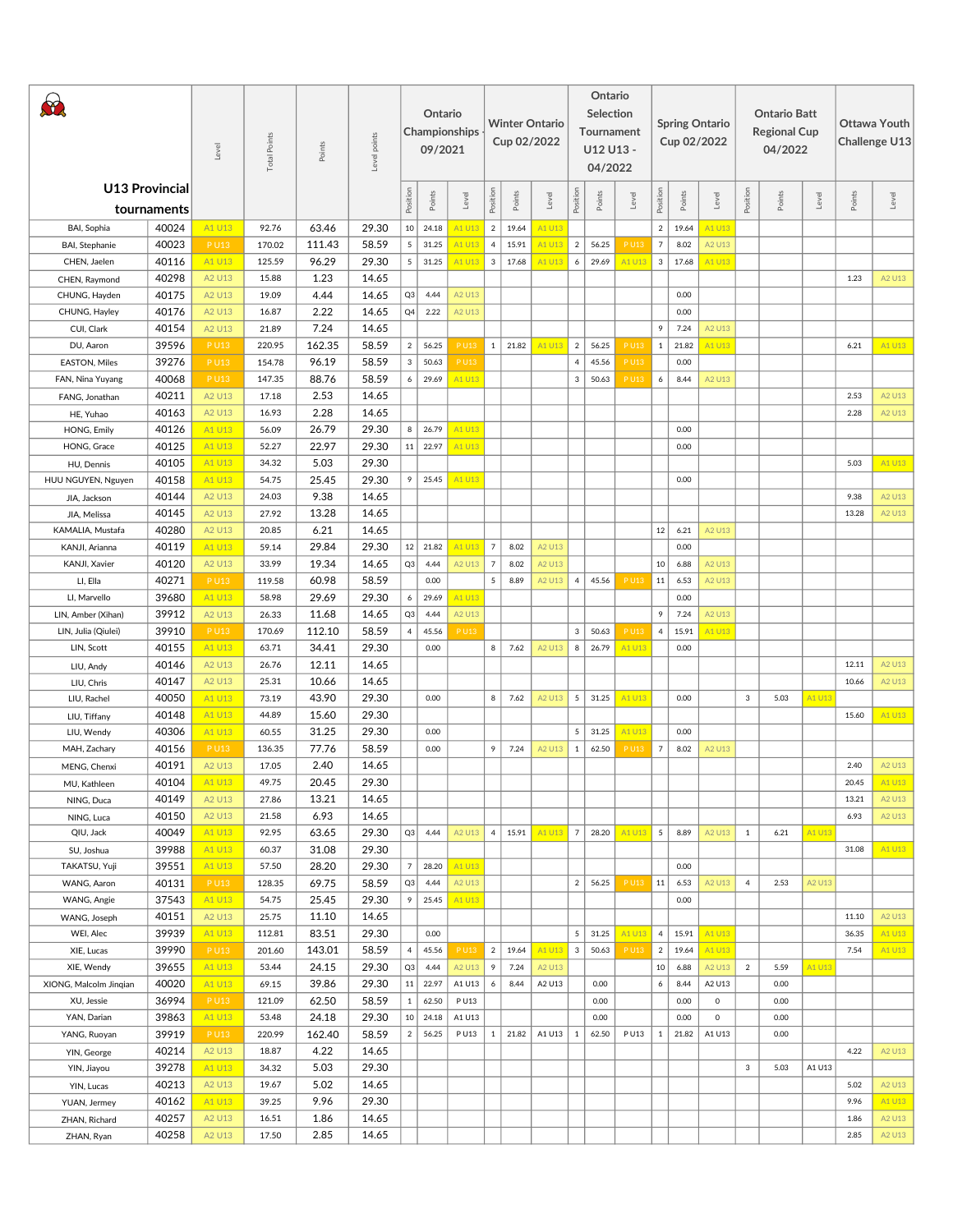| $\left( \theta \right)$ |                                      | Level  | ್ಲಿ<br>Total Poir | Points | Level points |                | Ontario<br>09/2021 | Championships |                |        | <b>Winter Ontario</b><br>Cup 02/2022 |                 | Ontario<br>Selection<br>Tournament<br>U12 U13 -<br>04/2022 |             |                |        | <b>Spring Ontario</b><br>Cup 02/2022 |                | <b>Ontario Batt</b><br><b>Regional Cup</b><br>04/2022 |        |        | Ottawa Youth<br>Challenge U13 |
|-------------------------|--------------------------------------|--------|-------------------|--------|--------------|----------------|--------------------|---------------|----------------|--------|--------------------------------------|-----------------|------------------------------------------------------------|-------------|----------------|--------|--------------------------------------|----------------|-------------------------------------------------------|--------|--------|-------------------------------|
|                         | <b>U13 Provincial</b><br>tournaments |        |                   |        |              | Position       | Points             | Level         | Position       | Points | Level                                | Position        | Points                                                     | Level       | Position       | Points | Level                                | Position       | Points                                                | Level  | Points | Level                         |
| BAI, Sophia             | 40024                                | A1 U13 | 92.76             | 63.46  | 29.30        |                | $10 \mid 24.18$    | A1 U13        | 2              | 19.64  | A1 U13                               |                 |                                                            |             | $2^{\circ}$    | 19.64  | A1 U13                               |                |                                                       |        |        |                               |
| BAI, Stephanie          | 40023                                | P U13  | 170.02            | 111.43 | 58.59        | 5              | 31.25              | A1 U13        | $\overline{4}$ | 15.91  | A1 U13                               | $\overline{2}$  | 56.25                                                      | P U13       | $\overline{7}$ | 8.02   | A2 U13                               |                |                                                       |        |        |                               |
| CHEN, Jaelen            | 40116                                | A1 U13 | 125.59            | 96.29  | 29.30        | 5 <sup>5</sup> | 31.25              | A1 U13        | $\overline{3}$ | 17.68  | A1 U13                               | 6               | 29.69                                                      | A1 U13      | $\mathbf{3}$   | 17.68  | A1 U13                               |                |                                                       |        |        |                               |
| CHEN, Raymond           | 40298                                | A2 U13 | 15.88             | 1.23   | 14.65        |                |                    |               |                |        |                                      |                 |                                                            |             |                |        |                                      |                |                                                       |        | 1.23   | A2 U13                        |
| CHUNG, Hayden           | 40175                                | A2 U13 | 19.09             | 4.44   | 14.65        | Q3             | 4.44               | A2 U13        |                |        |                                      |                 |                                                            |             |                | 0.00   |                                      |                |                                                       |        |        |                               |
| CHUNG, Hayley           | 40176                                | A2 U13 | 16.87             | 2.22   | 14.65        | Q4             | 2.22               | A2 U13        |                |        |                                      |                 |                                                            |             |                | 0.00   |                                      |                |                                                       |        |        |                               |
| CUI, Clark              | 40154                                | A2 U13 | 21.89             | 7.24   | 14.65        |                |                    |               |                |        |                                      |                 |                                                            |             | 9              | 7.24   | A2 U13                               |                |                                                       |        |        |                               |
| DU, Aaron               | 39596                                | P U13  | 220.95            | 162.35 | 58.59        | 2              | 56.25              | P U13         | 1              | 21.82  | A1 U13                               | $\overline{2}$  | 56.25                                                      | P U13       | 1              | 21.82  | A1 U13                               |                |                                                       |        | 6.21   | A1 U13                        |
| <b>EASTON, Miles</b>    | 39276                                | P U13  | 154.78            | 96.19  | 58.59        | $\mathbf{3}$   | 50.63              | P U13         |                |        |                                      | $\overline{4}$  | 45.56                                                      | <b>PU13</b> |                | 0.00   |                                      |                |                                                       |        |        |                               |
| FAN, Nina Yuyang        | 40068                                | P U13  | 147.35            | 88.76  | 58.59        | 6              | 29.69              | A1 U13        |                |        |                                      | $\mathbf{3}$    | 50.63                                                      | P U13       | 6              | 8.44   | A2 U13                               |                |                                                       |        |        |                               |
| FANG, Jonathan          | 40211                                | A2 U13 | 17.18             | 2.53   | 14.65        |                |                    |               |                |        |                                      |                 |                                                            |             |                |        |                                      |                |                                                       |        | 2.53   | A2 U13                        |
| HE, Yuhao               | 40163                                | A2 U13 | 16.93             | 2.28   | 14.65        |                |                    |               |                |        |                                      |                 |                                                            |             |                |        |                                      |                |                                                       |        | 2.28   | A2 U13                        |
| HONG, Emily             | 40126                                | A1 U13 | 56.09             | 26.79  | 29.30        | 8              | 26.79              | A1 U13        |                |        |                                      |                 |                                                            |             |                | 0.00   |                                      |                |                                                       |        |        |                               |
| HONG, Grace             | 40125                                | A1 U13 | 52.27             | 22.97  | 29.30        | 11             | 22.97              | A1 U13        |                |        |                                      |                 |                                                            |             |                | 0.00   |                                      |                |                                                       |        |        |                               |
| HU, Dennis              | 40105                                | A1 U13 | 34.32             | 5.03   | 29.30        |                |                    |               |                |        |                                      |                 |                                                            |             |                |        |                                      |                |                                                       |        | 5.03   | A1 U13                        |
| HUU NGUYEN, Nguyen      | 40158                                | A1 U13 | 54.75             | 25.45  | 29.30        | 9              | 25.45              | A1 U13        |                |        |                                      |                 |                                                            |             |                | 0.00   |                                      |                |                                                       |        |        |                               |
| JIA, Jackson            | 40144                                | A2 U13 | 24.03             | 9.38   | 14.65        |                |                    |               |                |        |                                      |                 |                                                            |             |                |        |                                      |                |                                                       |        | 9.38   | A2 U13                        |
| JIA, Melissa            | 40145                                | A2 U13 | 27.92             | 13.28  | 14.65        |                |                    |               |                |        |                                      |                 |                                                            |             |                |        |                                      |                |                                                       |        | 13.28  | A2 U13                        |
| KAMALIA, Mustafa        | 40280                                | A2 U13 | 20.85             | 6.21   | 14.65        |                |                    |               |                |        |                                      |                 |                                                            |             | 12             | 6.21   | A2 U13                               |                |                                                       |        |        |                               |
| KANJI, Arianna          | 40119                                | A1 U13 | 59.14             | 29.84  | 29.30        | 12             | 21.82              | A1 U13        | $\overline{7}$ | 8.02   | A2 U13                               |                 |                                                            |             |                | 0.00   |                                      |                |                                                       |        |        |                               |
| KANJI, Xavier           | 40120                                | A2 U13 | 33.99             | 19.34  | 14.65        | Q3             | 4.44               | A2 U13        | $\overline{7}$ | 8.02   | A2 U13                               |                 |                                                            |             | 10             | 6.88   | A2 U13                               |                |                                                       |        |        |                               |
| LI, Ella                | 40271                                | P U13  | 119.58            | 60.98  | 58.59        |                | 0.00               |               | 5              | 8.89   | A2 U13                               | $\overline{4}$  | 45.56                                                      | P U13       | 11             | 6.53   | A2 U13                               |                |                                                       |        |        |                               |
| LI, Marvello            | 39680                                | A1 U13 | 58.98             | 29.69  | 29.30        | 6 <sup>1</sup> | 29.69              | A1 U13        |                |        |                                      |                 |                                                            |             |                | 0.00   |                                      |                |                                                       |        |        |                               |
| LIN, Amber (Xihan)      | 39912                                | A2 U13 | 26.33             | 11.68  | 14.65        | Q3             | 4.44               | A2 U13        |                |        |                                      |                 |                                                            |             | 9              | 7.24   | A2 U13                               |                |                                                       |        |        |                               |
| LIN, Julia (Qiulei)     | 39910                                | P U13  | 170.69            | 112.10 | 58.59        | $\overline{4}$ | 45.56              | PU13          |                |        |                                      | 3               | 50.63                                                      | P U13       | $\overline{4}$ | 15.91  | A1 U13                               |                |                                                       |        |        |                               |
| LIN, Scott              | 40155                                | A1 U13 | 63.71             | 34.41  | 29.30        |                | 0.00               |               | 8 <sup>1</sup> | 7.62   | A2 U13                               | 8               | 26.79                                                      | A1 U13      |                | 0.00   |                                      |                |                                                       |        |        |                               |
| LIU, Andy               | 40146                                | A2 U13 | 26.76             | 12.11  | 14.65        |                |                    |               |                |        |                                      |                 |                                                            |             |                |        |                                      |                |                                                       |        | 12.11  | A2 U13                        |
| LIU, Chris              | 40147                                | A2 U13 | 25.31             | 10.66  | 14.65        |                |                    |               |                |        |                                      |                 |                                                            |             |                |        |                                      |                |                                                       |        | 10.66  | A2 U13                        |
| LIU, Rachel             | 40050                                | A1 U13 | 73.19             | 43.90  | 29.30        |                | 0.00               |               | 8              | 7.62   | A2 U13                               | $\overline{5}$  | 31.25                                                      | A1 U13      |                | 0.00   |                                      | 3              | 5.03                                                  | A1 U13 |        |                               |
| LIU, Tiffany            | 40148                                | A1 U13 | 44.89             | 15.60  | 29.30        |                |                    |               |                |        |                                      |                 |                                                            |             |                |        |                                      |                |                                                       |        | 15.60  | A1 U13                        |
| LIU, Wendy              | 40306                                | A1 U13 | 60.55             | 31.25  | 29.30        |                | 0.00               |               |                |        |                                      | 5 <sup>1</sup>  | 31.25                                                      | A1 U13      |                | 0.00   |                                      |                |                                                       |        |        |                               |
| MAH, Zachary            | 40156                                | P U13  | 136.35            | 77.76  | 58.59        |                | 0.00               |               | 9              | 7.24   | A2 U13                               | 1               | 62.50                                                      | P U13       | $\overline{7}$ | 8.02   | A2 U13                               |                |                                                       |        |        |                               |
| MENG, Chenxi            | 40191                                | A2 U13 | 17.05             | 2.40   | 14.65        |                |                    |               |                |        |                                      |                 |                                                            |             |                |        |                                      |                |                                                       |        | 2.40   | A2 U13                        |
| MU, Kathleen            | 40104                                | A1 U13 | 49.75             | 20.45  | 29.30        |                |                    |               |                |        |                                      |                 |                                                            |             |                |        |                                      |                |                                                       |        | 20.45  | A1 U13                        |
| NING, Duca              | 40149                                | A2 U13 | 27.86             | 13.21  | 14.65        |                |                    |               |                |        |                                      |                 |                                                            |             |                |        |                                      |                |                                                       |        | 13.21  | A2 U13                        |
| NING, Luca              | 40150                                | A2 U13 | 21.58             | 6.93   | 14.65        |                |                    |               |                |        |                                      |                 |                                                            |             |                |        |                                      |                |                                                       |        | 6.93   | A2 U13                        |
| QIU, Jack               | 40049                                | A1 U13 | 92.95             | 63.65  | 29.30        |                | $Q3$ 4.44          | A2 U13        | 4 <sup>1</sup> | 15.91  | A1 U13                               | $7\overline{ }$ | 28.20                                                      | A1 U13      | 5 <sub>5</sub> | 8.89   | A2 U13                               | 1              | 6.21                                                  | A1 U13 |        |                               |
| SU, Joshua              | 39988                                | A1 U13 | 60.37             | 31.08  | 29.30        |                |                    |               |                |        |                                      |                 |                                                            |             |                |        |                                      |                |                                                       |        | 31.08  | A1 U13                        |
| TAKATSU, Yuji           | 39551                                | A1 U13 | 57.50             | 28.20  | 29.30        | 7              | 28.20              | A1 U13        |                |        |                                      |                 |                                                            |             |                | 0.00   |                                      |                |                                                       |        |        |                               |
| WANG, Aaron             | 40131                                | P U13  | 128.35            | 69.75  | 58.59        | Q3             | 4.44               | A2 U13        |                |        |                                      | 2 <sup>1</sup>  | 56.25                                                      | P U13       | 11             | 6.53   | A2 U13                               | $\overline{4}$ | 2.53                                                  | A2 U13 |        |                               |
| WANG, Angie             | 37543                                | A1 U13 | 54.75             | 25.45  | 29.30        | 9              | 25.45              | A1 U13        |                |        |                                      |                 |                                                            |             |                | 0.00   |                                      |                |                                                       |        |        |                               |
| WANG, Joseph            | 40151                                | A2 U13 | 25.75             | 11.10  | 14.65        |                |                    |               |                |        |                                      |                 |                                                            |             |                |        |                                      |                |                                                       |        | 11.10  | A2 U13                        |
| WEI, Alec               | 39939                                | A1 U13 | 112.81            | 83.51  | 29.30        |                | 0.00               |               |                |        |                                      | 5 <sup>5</sup>  | 31.25                                                      | A1 U13      | 4              | 15.91  | A1 U13                               |                |                                                       |        | 36.35  | A1 U13                        |
| XIE, Lucas              | 39990                                | P U13  | 201.60            | 143.01 | 58.59        | $\overline{4}$ | 45.56              | P U13         | 2              | 19.64  | A1 U13                               | 3               | 50.63                                                      | P U13       | $\overline{2}$ | 19.64  | A1 U13                               |                |                                                       |        | 7.54   | A1 U13                        |
| XIE, Wendy              | 39655                                | A1 U13 | 53.44             | 24.15  | 29.30        | Q3             | 4.44               | A2 U13        | 9              | 7.24   | A2 U13                               |                 |                                                            |             | 10             | 6.88   | A2 U13                               | $\overline{2}$ | 5.59                                                  | A1 U13 |        |                               |
| XIONG, Malcolm Jingian  | 40020                                | A1 U13 | 69.15             | 39.86  | 29.30        |                | $11 \mid 22.97$    | A1 U13        | 6              | 8.44   | A2 U13                               |                 | 0.00                                                       |             | 6              | 8.44   | A2 U13                               |                | 0.00                                                  |        |        |                               |
| XU, Jessie              | 36994                                | P U13  | 121.09            | 62.50  | 58.59        | $1 \vert$      | 62.50              | P U13         |                |        |                                      |                 | 0.00                                                       |             |                | 0.00   | $\circ$                              |                | 0.00                                                  |        |        |                               |
| YAN, Darian             | 39863                                | A1 U13 | 53.48             | 24.18  | 29.30        |                | $10 \mid 24.18$    | A1 U13        |                |        |                                      |                 | 0.00                                                       |             |                | 0.00   | $\circ$                              |                | 0.00                                                  |        |        |                               |
| YANG, Ruoyan            | 39919                                | P U13  | 220.99            | 162.40 | 58.59        | 2              | 56.25              | P U13         | $\mathbf{1}$   | 21.82  | A1 U13                               | 1               | 62.50                                                      | P U13       | 1              | 21.82  | A1 U13                               |                | 0.00                                                  |        |        |                               |
| YIN, George             | 40214                                | A2 U13 | 18.87             | 4.22   | 14.65        |                |                    |               |                |        |                                      |                 |                                                            |             |                |        |                                      |                |                                                       |        | 4.22   | A2 U13                        |
| YIN, Jiayou             | 39278                                | A1 U13 | 34.32             | 5.03   | 29.30        |                |                    |               |                |        |                                      |                 |                                                            |             |                |        |                                      | 3              | 5.03                                                  | A1 U13 |        |                               |
| YIN, Lucas              | 40213                                | A2 U13 | 19.67             | 5.02   | 14.65        |                |                    |               |                |        |                                      |                 |                                                            |             |                |        |                                      |                |                                                       |        | 5.02   | A2 U13                        |
| YUAN, Jermey            | 40162                                | A1 U13 | 39.25             | 9.96   | 29.30        |                |                    |               |                |        |                                      |                 |                                                            |             |                |        |                                      |                |                                                       |        | 9.96   | A1 U13                        |
| ZHAN, Richard           | 40257                                | A2 U13 | 16.51             | 1.86   | 14.65        |                |                    |               |                |        |                                      |                 |                                                            |             |                |        |                                      |                |                                                       |        | 1.86   | A2 U13                        |
| ZHAN, Ryan              | 40258                                | A2 U13 | 17.50             | 2.85   | 14.65        |                |                    |               |                |        |                                      |                 |                                                            |             |                |        |                                      |                |                                                       |        | 2.85   | A2 U13                        |